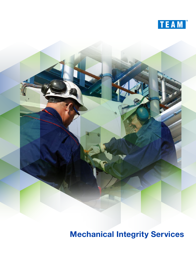



**Mechanical Integrity Services**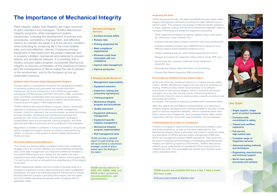# **The Importance of Mechanical Integrity**

**Mechanical Integrity Services**

- + Increase process safety
- + Reduce risks
- + Prolong equipment life
- + Meet compliance requirements
- + Eliminate costly fines associated with noncompliance
- + Improve data management
- + Improve production

# **Why TEAM?**

- + Single supplier, single point of contact worldwide
- + Company-wide commitment to safety
- + Trained and certified inspectors
- + Full-service, high-volume labs
- + Complete range of inspection services
- + Advanced testing methods and techniques
- + Engineering, manufacturing and technical support
- + World class quality processes and systems

# **A Standard Audit Review of:**

- + Management responsibility
- + Equipment selection
- + Inspection, testing and preventive maintenance
- + Training programs
- + Mechanical Integrity program and procedures
- + Quality assurance
- + Equipment deficiency management
- + Equipment-specific integrity management
- + Mechanical Integrity program implementation
- + Risk management tools

TEAM provides a detailed report of audit findings and will recommend a customized strategic course of action based upon the findings in the report.

**TEAM strictly adheres to AWS, API, ASME, ABS, and NACE codes, guidelines, recommendations, and specifications.**

Plant integrity, safety, and reliability are major concerns to plant operators and managers. TEAM's Mechanical Integrity programs utilize management system frameworks, including the development of policies and procedures, competency management, and effective metrics to maintain the asset in a fit-for-service condition while extending its remaining life in the most reliable, safe, and cost-effective manner. It ensures process equipment is fabricated from the proper materials and is properly installed, maintained and replaced to prevent failures and accidental releases. It is essential that a healthy process safety program incorporate Mechanical Integrity so that the combination of the likelihood of failure and the consequence of failure makes the risk to people, to the environment, and to the company as low as reasonably practical.

#### **Enhance Your Process Safety Management Program**

Process safety is a disciplined framework for managing the integrity of operating systems and processes that handle hazardous substances. Since the introduction of the OSHA process safety management (PSM) standard (29 CFR 1910.119) in 1992, companies have committed considerable effort and expense to developing PSM programs. Unfortunately, serious incidents and audits all too frequently point to gaps in PSM implementation.

TEAM's effective Mechanical Integrity program utilizes a systematic approach to evaluating the whole process safety management process. Using this approach, the process design, process technology, process changes, operational and maintenance activities and procedures, non-routine activities and procedures, emergency preparedness plans and procedures, training programs, and other elements that affect the process are all considered in the evaluation.

Regardless of whether a company is trying to establish a new process safety management system, revamp an existing underperforming system or improve a solid system to achieve higher performance, TEAM can help.

### **Good Data Makes All the Difference**

The number one process safety compliance issue most companies struggle with is the correct collection and record keeping of essential data. Good data management can make all the difference between a successful PSM program and a failing one. No matter how many inspections and other integrity tools that are utilized, without good data it is hard to truly achieve a comprehensive understanding of the integrity of an asset.

TEAM's Mechanical Integrity services include a thorough audit of a company's inspection process, data recording and data management procedures. The goal is to showcase areas for improvement to ensure the data collection process is providing the company with the safest and most reliable operating procedures, while complying with all applicable codes.

# **Analyzing the Data**

TEAM utilizes the PS AIM: The New UltraPIPE® Process Safety Asset Integrity Management Software to analyze the data collected from a facility's audit. This powerful tool enables TEAM and facility operators to input, organize, analyze and document thickness inspection data for corrosion monitoring and predictive inspection scheduling.

- Track inspection schedules for piping, vessels, tanks, relief valves, etc. (thickness, visual, internal, etc.)
- Analyze thickness data to predict corrosion rates and remaining life
- Evaluate localized corrosion (per ASME B31G) on piping for costeffective repairs before potential problems occur
- Create scheduling reports: what needs inspecting and when?
- Manage documents for inspection history (Word, Excel, PDF, etc.)
- Dynamically link inspection drawings to any equipment (AutoCAD, etc.)
- Automatically display CML information on the drawing
- Provide Risk Based Inspection (RBI) scheduling

### **Encouraging A Healthy Process Safety Culture**

At the end of the day, people are the key to a healthy process safety culture. TEAM's Mechanical Integrity services place an emphasis on training. TEAM provides written documentation of 30 different procedures for mechanical integrity, which is reviewed with project managers via a two-day training course. The documentation is dynamically linked for users to easily access a specific procedure and associated documents

as needed. The procedure manual is available both online and offline.

When the objectives and effective implementation of a mechanical integrity program go beyond just meeting compliance and also include goals to improve equipment reliability, reduce unplanned down time, and to reduce and mitigate risk, then increased worker safety, better relationship with the community, and profitability can be expected.

#### **Understanding the Codes for Compliance**

A facility's compliance requirements are influenced by federal, state and local jurisdictions, as well as individual organizations. Our Mechanical Integrity group is extremely well versed in pertinent codes and standards of OSHA's process safety management (PSM) and EPA's risk management program (RMP) regulations. They bring over 50 years of expertise and knowledge of developing solid Mechanical Integrity and QA/QC programs to the industry. TEAM's Mechanical Integrity group understands the guidelines of the code and how to interpret the code. This knowledge has helped many facilities avoid costly compliance fines.

**TEAM experts are available 24 hours a day, 7 days a week, 365 days a year.** 

Find your local contact at TeamInc.com.